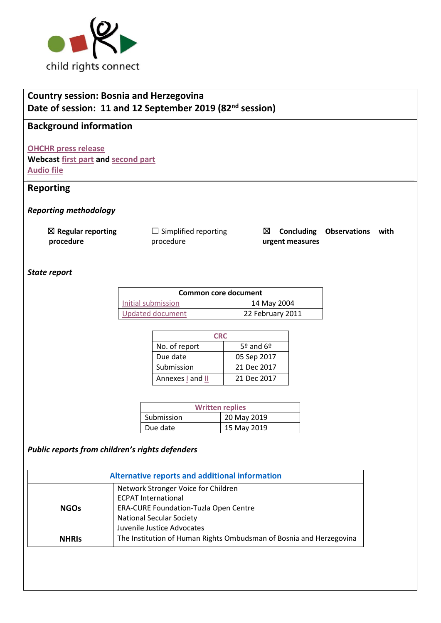

# **Country session: Bosnia and Herzegovina Date of session: 11 and 12 September 2019 (82nd session)**

## **Background information**

**[OHCHR press release](https://www.ohchr.org/EN/NewsEvents/Pages/DisplayNews.aspx?NewsID=24975&LangID=E)  Webcast [first part](http://webtv.un.org/search/consideration-of-bosnia-and-herzegovina-2404th-meeting-82nd-session-committee-on-the-rights-of-the-child/6085217315001/?term=bosnia%20children&sort=date) and [second part](http://webtv.un.org/search/consideration-of-bosnia-and-herzegovina-contd-2405th-meeting-82nd-session-committee-on-the-rights-of-the-child/6085332050001/?term=bosnia%20children&sort=date) [Audio file](https://conf.unog.ch/digitalrecordings/index.html?guid=public/61.0060/EA0A3935-E90C-406B-B3A5-211F1BFFE3B5_09h59&position=0)**

### **Reporting**

*Reporting methodology*

☒ **Regular reporting procedure**

 $\Box$  Simplified reporting procedure

☒ **Concluding Observations with urgent measures**

### *State report*

| <b>Common core document</b> |                  |  |
|-----------------------------|------------------|--|
| Initial submission          | 14 May 2004      |  |
| Updated document            | 22 February 2011 |  |

| No. of report    | $5°$ and $6°$ |  |
|------------------|---------------|--|
| Due date         | 05 Sep 2017   |  |
| Submission       | 21 Dec 2017   |  |
| Annexes I and II | 21 Dec 2017   |  |

| <b>Written replies</b> |             |  |
|------------------------|-------------|--|
| Submission             | 20 May 2019 |  |
| Due date               | 15 May 2019 |  |

### *Public reports from children's rights defenders*

| Alternative reports and additional information |                                                                     |  |  |
|------------------------------------------------|---------------------------------------------------------------------|--|--|
| Network Stronger Voice for Children            |                                                                     |  |  |
|                                                | <b>ECPAT International</b>                                          |  |  |
| <b>NGOs</b>                                    | ERA-CURE Foundation-Tuzla Open Centre                               |  |  |
|                                                | <b>National Secular Society</b>                                     |  |  |
|                                                | Juvenile Justice Advocates                                          |  |  |
| <b>NHRIS</b>                                   | The Institution of Human Rights Ombudsman of Bosnia and Herzegovina |  |  |
|                                                |                                                                     |  |  |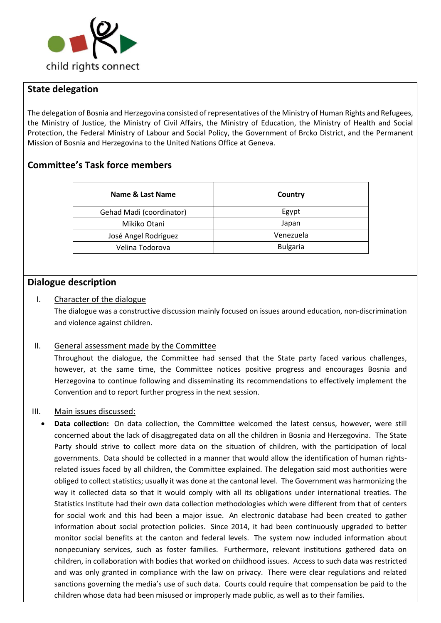

## **State delegation**

The delegation of Bosnia and Herzegovina consisted of representatives of the Ministry of Human Rights and Refugees, the Ministry of Justice, the Ministry of Civil Affairs, the Ministry of Education, the Ministry of Health and Social Protection, the Federal Ministry of Labour and Social Policy, the Government of Brcko District, and the Permanent Mission of Bosnia and Herzegovina to the United Nations Office at Geneva.

## **Committee's Task force members**

| Name & Last Name         | Country         |
|--------------------------|-----------------|
| Gehad Madi (coordinator) | Egypt           |
| Mikiko Otani             | Japan           |
| José Angel Rodriguez     | Venezuela       |
| Velina Todorova          | <b>Bulgaria</b> |

### **Dialogue description**

#### I. Character of the dialogue

The dialogue was a constructive discussion mainly focused on issues around education, non-discrimination and violence against children.

#### II. General assessment made by the Committee

Throughout the dialogue, the Committee had sensed that the State party faced various challenges, however, at the same time, the Committee notices positive progress and encourages Bosnia and Herzegovina to continue following and disseminating its recommendations to effectively implement the Convention and to report further progress in the next session.

#### III. Main issues discussed:

• **Data collection:** On data collection, the Committee welcomed the latest census, however, were still concerned about the lack of disaggregated data on all the children in Bosnia and Herzegovina. The State Party should strive to collect more data on the situation of children, with the participation of local governments. Data should be collected in a manner that would allow the identification of human rightsrelated issues faced by all children, the Committee explained. The delegation said most authorities were obliged to collect statistics; usually it was done at the cantonal level. The Government was harmonizing the way it collected data so that it would comply with all its obligations under international treaties. The Statistics Institute had their own data collection methodologies which were different from that of centers for social work and this had been a major issue. An electronic database had been created to gather information about social protection policies. Since 2014, it had been continuously upgraded to better monitor social benefits at the canton and federal levels. The system now included information about nonpecuniary services, such as foster families. Furthermore, relevant institutions gathered data on children, in collaboration with bodies that worked on childhood issues. Access to such data was restricted and was only granted in compliance with the law on privacy. There were clear regulations and related sanctions governing the media's use of such data. Courts could require that compensation be paid to the children whose data had been misused or improperly made public, as well as to their families.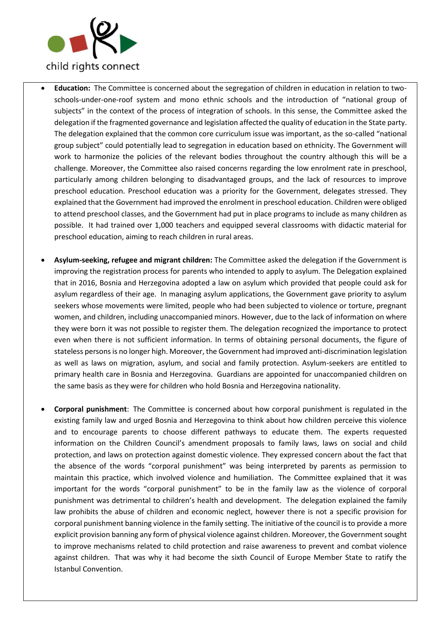

- **Education:** The Committee is concerned about the segregation of children in education in relation to twoschools-under-one-roof system and mono ethnic schools and the introduction of "national group of subjects" in the context of the process of integration of schools. In this sense, the Committee asked the delegation if the fragmented governance and legislation affected the quality of education in the State party. The delegation explained that the common core curriculum issue was important, as the so-called "national group subject" could potentially lead to segregation in education based on ethnicity. The Government will work to harmonize the policies of the relevant bodies throughout the country although this will be a challenge. Moreover, the Committee also raised concerns regarding the low enrolment rate in preschool, particularly among children belonging to disadvantaged groups, and the lack of resources to improve preschool education. Preschool education was a priority for the Government, delegates stressed. They explained that the Government had improved the enrolment in preschool education. Children were obliged to attend preschool classes, and the Government had put in place programs to include as many children as possible. It had trained over 1,000 teachers and equipped several classrooms with didactic material for preschool education, aiming to reach children in rural areas.
- **Asylum-seeking, refugee and migrant children:** The Committee asked the delegation if the Government is improving the registration process for parents who intended to apply to asylum. The Delegation explained that in 2016, Bosnia and Herzegovina adopted a law on asylum which provided that people could ask for asylum regardless of their age. In managing asylum applications, the Government gave priority to asylum seekers whose movements were limited, people who had been subjected to violence or torture, pregnant women, and children, including unaccompanied minors. However, due to the lack of information on where they were born it was not possible to register them. The delegation recognized the importance to protect even when there is not sufficient information. In terms of obtaining personal documents, the figure of stateless personsis no longer high. Moreover, the Government had improved anti-discrimination legislation as well as laws on migration, asylum, and social and family protection. Asylum-seekers are entitled to primary health care in Bosnia and Herzegovina. Guardians are appointed for unaccompanied children on the same basis as they were for children who hold Bosnia and Herzegovina nationality.
- **Corporal punishment**: The Committee is concerned about how corporal punishment is regulated in the existing family law and urged Bosnia and Herzegovina to think about how children perceive this violence and to encourage parents to choose different pathways to educate them. The experts requested information on the Children Council's amendment proposals to family laws, laws on social and child protection, and laws on protection against domestic violence. They expressed concern about the fact that the absence of the words "corporal punishment" was being interpreted by parents as permission to maintain this practice, which involved violence and humiliation. The Committee explained that it was important for the words "corporal punishment" to be in the family law as the violence of corporal punishment was detrimental to children's health and development. The delegation explained the family law prohibits the abuse of children and economic neglect, however there is not a specific provision for corporal punishment banning violence in the family setting. The initiative of the council is to provide a more explicit provision banning any form of physical violence against children. Moreover, the Government sought to improve mechanisms related to child protection and raise awareness to prevent and combat violence against children. That was why it had become the sixth Council of Europe Member State to ratify the Istanbul Convention.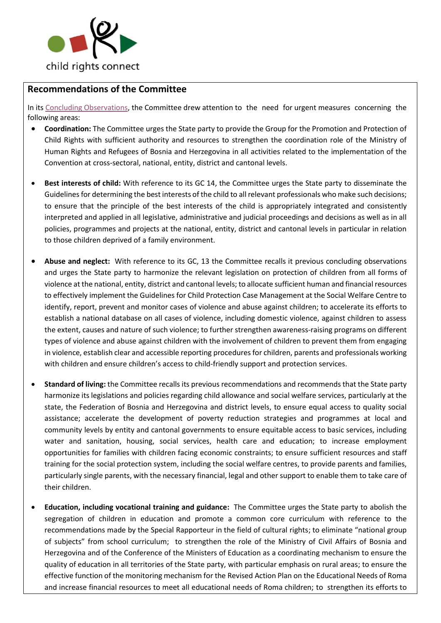

## **Recommendations of the Committee**

In its[Concluding Observations,](https://tbinternet.ohchr.org/_layouts/15/treatybodyexternal/Download.aspx?symbolno=CRC%2fC%2fBIH%2fCO%2f5-6&Lang=en) the Committee drew attention to the need for urgent measures concerning the following areas:

- **Coordination:** The Committee urges the State party to provide the Group for the Promotion and Protection of Child Rights with sufficient authority and resources to strengthen the coordination role of the Ministry of Human Rights and Refugees of Bosnia and Herzegovina in all activities related to the implementation of the Convention at cross-sectoral, national, entity, district and cantonal levels.
- **Best interests of child:** With reference to its GC 14, the Committee urges the State party to disseminate the Guidelines for determining the best interests of the child to all relevant professionals who make such decisions; to ensure that the principle of the best interests of the child is appropriately integrated and consistently interpreted and applied in all legislative, administrative and judicial proceedings and decisions as well as in all policies, programmes and projects at the national, entity, district and cantonal levels in particular in relation to those children deprived of a family environment.
- **Abuse and neglect:** With reference to its GC, 13 the Committee recalls it previous concluding observations and urges the State party to harmonize the relevant legislation on protection of children from all forms of violence at the national, entity, district and cantonal levels; to allocate sufficient human and financial resources to effectively implement the Guidelines for Child Protection Case Management at the Social Welfare Centre to identify, report, prevent and monitor cases of violence and abuse against children; to accelerate its efforts to establish a national database on all cases of violence, including domestic violence, against children to assess the extent, causes and nature of such violence; to further strengthen awareness-raising programs on different types of violence and abuse against children with the involvement of children to prevent them from engaging in violence, establish clear and accessible reporting procedures for children, parents and professionals working with children and ensure children's access to child-friendly support and protection services.
- **Standard of living:** the Committee recalls its previous recommendations and recommends that the State party harmonize its legislations and policies regarding child allowance and social welfare services, particularly at the state, the Federation of Bosnia and Herzegovina and district levels, to ensure equal access to quality social assistance; accelerate the development of poverty reduction strategies and programmes at local and community levels by entity and cantonal governments to ensure equitable access to basic services, including water and sanitation, housing, social services, health care and education; to increase employment opportunities for families with children facing economic constraints; to ensure sufficient resources and staff training for the social protection system, including the social welfare centres, to provide parents and families, particularly single parents, with the necessary financial, legal and other support to enable them to take care of their children.
- **Education, including vocational training and guidance:** The Committee urges the State party to abolish the segregation of children in education and promote a common core curriculum with reference to the recommendations made by the Special Rapporteur in the field of cultural rights; to eliminate "national group of subjects" from school curriculum; to strengthen the role of the Ministry of Civil Affairs of Bosnia and Herzegovina and of the Conference of the Ministers of Education as a coordinating mechanism to ensure the quality of education in all territories of the State party, with particular emphasis on rural areas; to ensure the effective function of the monitoring mechanism for the Revised Action Plan on the Educational Needs of Roma and increase financial resources to meet all educational needs of Roma children; to strengthen its efforts to